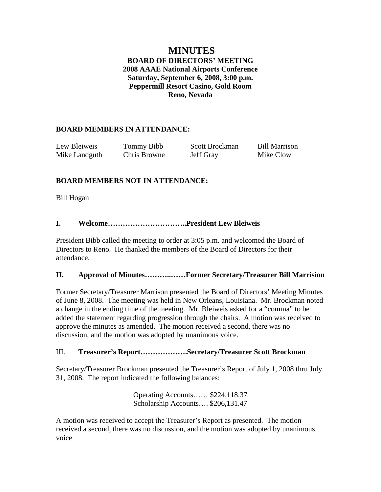# **MINUTES BOARD OF DIRECTORS' MEETING 2008 AAAE National Airports Conference Saturday, September 6, 2008, 3:00 p.m. Peppermill Resort Casino, Gold Room Reno, Nevada**

# **BOARD MEMBERS IN ATTENDANCE:**

| Lew Bleiweis  | Tommy Bibb   | Scott Brockman | <b>Bill Marrison</b> |
|---------------|--------------|----------------|----------------------|
| Mike Landguth | Chris Browne | Jeff Gray      | Mike Clow            |

# **BOARD MEMBERS NOT IN ATTENDANCE:**

Bill Hogan

## **I. Welcome…………………………..President Lew Bleiweis**

President Bibb called the meeting to order at 3:05 p.m. and welcomed the Board of Directors to Reno. He thanked the members of the Board of Directors for their attendance.

#### **II. Approval of Minutes………..……Former Secretary/Treasurer Bill Marrision**

Former Secretary/Treasurer Marrison presented the Board of Directors' Meeting Minutes of June 8, 2008. The meeting was held in New Orleans, Louisiana. Mr. Brockman noted a change in the ending time of the meeting. Mr. Bleiweis asked for a "comma" to be added the statement regarding progression through the chairs. A motion was received to approve the minutes as amended. The motion received a second, there was no discussion, and the motion was adopted by unanimous voice.

## III. **Treasurer's Report……………….Secretary/Treasurer Scott Brockman**

Secretary/Treasurer Brockman presented the Treasurer's Report of July 1, 2008 thru July 31, 2008. The report indicated the following balances:

> Operating Accounts…… \$224,118.37 Scholarship Accounts…. \$206,131.47

A motion was received to accept the Treasurer's Report as presented. The motion received a second, there was no discussion, and the motion was adopted by unanimous voice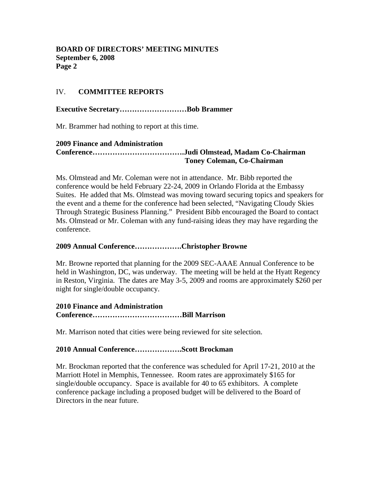#### **BOARD OF DIRECTORS' MEETING MINUTES September 6, 2008 Page 2**

### IV. **COMMITTEE REPORTS**

**Executive Secretary………………………Bob Brammer** 

Mr. Brammer had nothing to report at this time.

#### **2009 Finance and Administration Conference……………………………….Judi Olmstead, Madam Co-Chairman Toney Coleman, Co-Chairman**

Ms. Olmstead and Mr. Coleman were not in attendance. Mr. Bibb reported the conference would be held February 22-24, 2009 in Orlando Florida at the Embassy Suites. He added that Ms. Olmstead was moving toward securing topics and speakers for the event and a theme for the conference had been selected, "Navigating Cloudy Skies Through Strategic Business Planning." President Bibb encouraged the Board to contact Ms. Olmstead or Mr. Coleman with any fund-raising ideas they may have regarding the conference.

#### **2009 Annual Conference……………….Christopher Browne**

Mr. Browne reported that planning for the 2009 SEC-AAAE Annual Conference to be held in Washington, DC, was underway. The meeting will be held at the Hyatt Regency in Reston, Virginia. The dates are May 3-5, 2009 and rooms are approximately \$260 per night for single/double occupancy.

## **2010 Finance and Administration Conference………………………………Bill Marrison**

Mr. Marrison noted that cities were being reviewed for site selection.

#### **2010 Annual Conference……………….Scott Brockman**

Mr. Brockman reported that the conference was scheduled for April 17-21, 2010 at the Marriott Hotel in Memphis, Tennessee. Room rates are approximately \$165 for single/double occupancy. Space is available for 40 to 65 exhibitors. A complete conference package including a proposed budget will be delivered to the Board of Directors in the near future.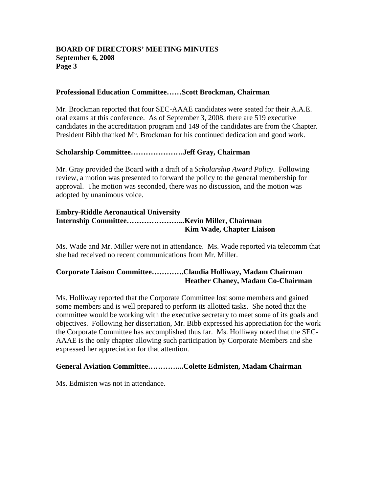#### **BOARD OF DIRECTORS' MEETING MINUTES September 6, 2008 Page 3**

#### **Professional Education Committee……Scott Brockman, Chairman**

Mr. Brockman reported that four SEC-AAAE candidates were seated for their A.A.E. oral exams at this conference. As of September 3, 2008, there are 519 executive candidates in the accreditation program and 149 of the candidates are from the Chapter. President Bibb thanked Mr. Brockman for his continued dedication and good work.

#### **Scholarship Committee…………………Jeff Gray, Chairman**

Mr. Gray provided the Board with a draft of a *Scholarship Award Policy*. Following review, a motion was presented to forward the policy to the general membership for approval. The motion was seconded, there was no discussion, and the motion was adopted by unanimous voice.

#### **Embry-Riddle Aeronautical University Internship Committee…………………...Kevin Miller, Chairman Kim Wade, Chapter Liaison**

Ms. Wade and Mr. Miller were not in attendance. Ms. Wade reported via telecomm that she had received no recent communications from Mr. Miller.

## **Corporate Liaison Committee………….Claudia Holliway, Madam Chairman Heather Chaney, Madam Co-Chairman**

Ms. Holliway reported that the Corporate Committee lost some members and gained some members and is well prepared to perform its allotted tasks. She noted that the committee would be working with the executive secretary to meet some of its goals and objectives. Following her dissertation, Mr. Bibb expressed his appreciation for the work the Corporate Committee has accomplished thus far. Ms. Holliway noted that the SEC-AAAE is the only chapter allowing such participation by Corporate Members and she expressed her appreciation for that attention.

#### **General Aviation Committee…………...Colette Edmisten, Madam Chairman**

Ms. Edmisten was not in attendance.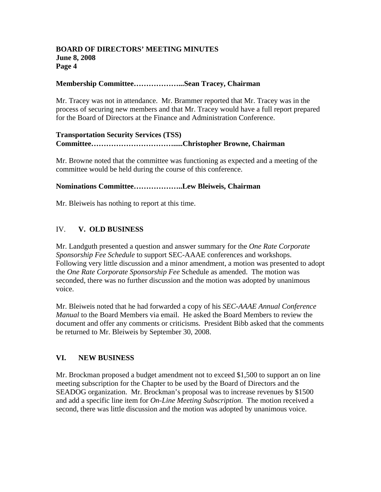#### **BOARD OF DIRECTORS' MEETING MINUTES June 8, 2008 Page 4**

#### **Membership Committee………………...Sean Tracey, Chairman**

Mr. Tracey was not in attendance. Mr. Brammer reported that Mr. Tracey was in the process of securing new members and that Mr. Tracey would have a full report prepared for the Board of Directors at the Finance and Administration Conference.

### **Transportation Security Services (TSS) Committee…………………………….....Christopher Browne, Chairman**

Mr. Browne noted that the committee was functioning as expected and a meeting of the committee would be held during the course of this conference.

### **Nominations Committee………………..Lew Bleiweis, Chairman**

Mr. Bleiweis has nothing to report at this time.

### IV. **V. OLD BUSINESS**

Mr. Landguth presented a question and answer summary for the *One Rate Corporate Sponsorship Fee Schedule* to support SEC-AAAE conferences and workshops. Following very little discussion and a minor amendment, a motion was presented to adopt the *One Rate Corporate Sponsorship Fee* Schedule as amended. The motion was seconded, there was no further discussion and the motion was adopted by unanimous voice.

Mr. Bleiweis noted that he had forwarded a copy of his *SEC-AAAE Annual Conference Manual* to the Board Members via email. He asked the Board Members to review the document and offer any comments or criticisms. President Bibb asked that the comments be returned to Mr. Bleiweis by September 30, 2008.

#### **VI. NEW BUSINESS**

Mr. Brockman proposed a budget amendment not to exceed \$1,500 to support an on line meeting subscription for the Chapter to be used by the Board of Directors and the SEADOG organization. Mr. Brockman's proposal was to increase revenues by \$1500 and add a specific line item for *On-Line Meeting Subscription*. The motion received a second, there was little discussion and the motion was adopted by unanimous voice.